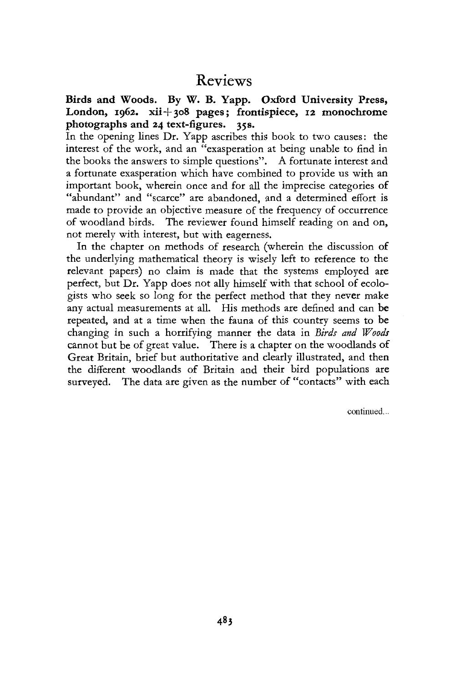# Reviews

**Birds and Woods. By W. B. Yapp. Oxford University Press,**  London, 1962. xii+308 pages; frontispiece, 12 monochrome **photographs and 24 text-figures. 35s.** 

In the opening lines Dr. Yapp ascribes this book to two causes: the interest of the work, and an "exasperation at being unable to find in the books the answers to simple questions". A fortunate interest and a fortunate exasperation which have combined to provide us with an important book, wherein once and for all the imprecise categories of "abundant" and "scarce" are abandoned, and a determined effort is made to provide an objective measure of the frequency of occurrence of woodland birds. The reviewer found himself reading on and on, not merely with interest, but with eagerness.

In the chapter on methods of research (wherein the discussion of the underlying mathematical theory is wisely left to reference to the relevant papers) no claim is made that the systems employed are perfect, but Dr. Yapp does not ally himself with that school of ecologists who seek so long for the perfect method that they never make any actual measurements at all. His methods are defined and can be repeated, and at a time when the fauna of this country seems to be changing in such a horrifying manner the data in *Birds and Woods*  cannot but be of great value. There is a chapter on the woodlands of Great Britain, brief but authoritative and clearly illustrated, and then the different woodlands of Britain and their bird populations are surveyed. The data are given as the number of "contacts" with each

continued...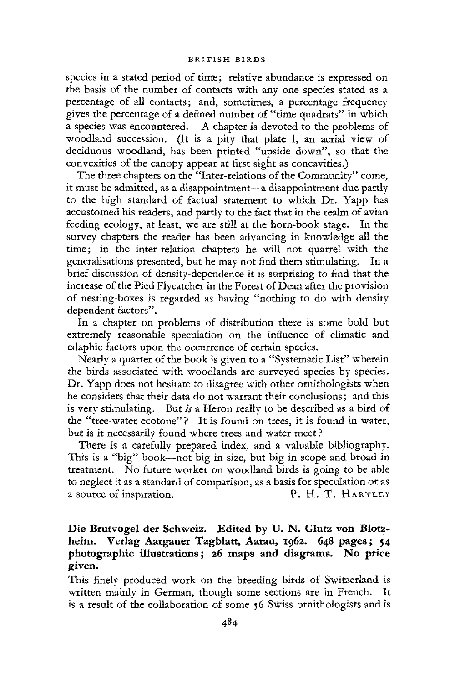#### BRITISH BIRDS

species in a stated period of time; relative abundance is expressed on the basis of the number of contacts with any one species stated as a percentage of all contacts; and, sometimes, a percentage frequency gives the percentage of a defined number of "time quadrats" in which a species was encountered. A chapter is devoted to the problems of woodland succession. (It is a pity that plate I, an aerial view of deciduous woodland, has been printed "upside down", so that the convexities of the canopy appear at first sight as concavities.)

The three chapters on the "Inter-relations of the Community" come, it must be admitted, as a disappointment—a disappointment due partly to the high standard of factual statement to which Dr. Yapp has accustomed his readers, and partly to the fact that in the realm of avian feeding ecology, at least, we are still at the horn-book stage. In the survey chapters the reader has been advancing in knowledge all the time; in the inter-relation chapters he will not quarrel with the generalisations presented, but he may not find them stimulating. In a brief discussion of density-dependence it is surprising to find that the increase of the Pied Flycatcher in the Forest of Dean after the provision of nesting-boxes is regarded as having "nothing to do with density dependent factors".

In a chapter on problems of distribution there is some bold but extremely reasonable speculation on the influence of climatic and edaphic factors upon the occurrence of certain species.

Nearly a quarter of the book is given to a "Systematic List" wherein the birds associated with woodlands are surveyed species by species. *Dr.* Yapp does not hesitate to disagree with other ornithologists when he considers that their data do not warrant their conclusions; and this is very stimulating. But *is* a Heron really to be described as a bird of the "tree-water ecotone"? It is found on trees, it is found in water, but is it necessarily found where trees and water meet ?

There is a carefully prepared index, and a valuable bibliography. This is a "big" book—not big in size, but big in scope and broad in treatment. No future worker on woodland birds is going to be able to neglect it as a standard of comparison, as a basis for speculation or as a source of inspiration. P. H. T. HARTLEY

# Die Brutvogel der Schweiz. Edited by U. N. Glutz von Blotz**heim. Verlag Aargauer Tagblatt, Aarau, 1962. 648 pages; 54 photographic illustrations; 26 maps and diagrams. No price given.**

This finely produced work on the breeding birds of Switzerland is written mainly in German, though some sections are in French. It is a result of the collaboration of some 56 Swiss ornithologists and is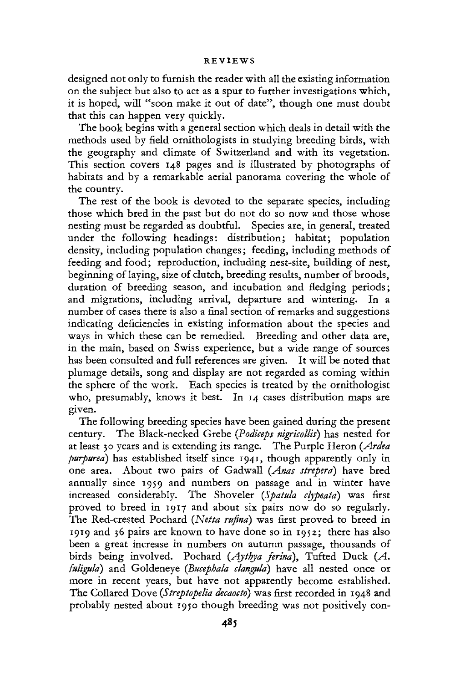## REVIEWS

designed not only to furnish the reader with all the existing information on the subject but also to act as a spur to further investigations which, it is hoped, will "soon make it out of date", though one must doubt that this can happen very quickly.

The book begins with a general section which deals in detail with the methods used by field ornithologists in studying breeding birds, with the geography and climate of Switzerland and with its vegetation. This section covers 148 pages and is illustrated by photographs of habitats and by a remarkable aerial panorama covering the whole of the country.

The rest of the book is devoted to the separate species, including those which bred in the past but do not do so now and those whose nesting must be regarded as doubtful. Species are, in general, treated under the following headings: distribution; habitat; population density, including population changes; feeding, including methods of feeding and food; reproduction, including nest-site, building of nest, beginning of laying, size of clutch, breeding results, number of broods, duration of breeding season, and incubation and fledging periods; and migrations, including arrival, departure and wintering. In a number of cases there is also a final section of remarks and suggestions indicating deficiencies in existing information about the species and ways in which these can be remedied. Breeding and other data are, in the main, based on Swiss experience, but a wide range of sources has been consulted and full references are given. It will be noted that plumage details, song and display are not regarded as coming within the sphere of the work. Each species is treated by the ornithologist who, presumably, knows it best. In 14 cases distribution maps are given.

The following breeding species have been gained during the present century. The Black-necked Grebe *{Podiceps nigricollis)* has nested for at least 30 years and is extending its range. The Purple Heron *{Ardea purpurea)* has established itself since 1941, though apparently only in one area. About two pairs of Gadwall *{Anas streperd)* have bred annually since 1959 and numbers on passage and in winter have increased considerably. The Shoveler *{Spatula clypeata)* was first proved to breed in 1917 and about six pairs now do so regularly. The Red-crested Pochard *{Netta rufina)* was first proved to breed in 1919 and 36 pairs are known to have done so in 1952; there has also been a great increase in numbers on autumn passage, thousands of birds being involved. Pochard *(Aythya ferina),* Tufted Duck *{A. fuliguld)* and Goldeneye *(Bucephala (languid)* have all nested once or more in recent years, but have not apparently become established. The Collared Dove *{Streptopelia decaocto)* was first recorded in 1948 and probably nested about 1950 though breeding was not positively con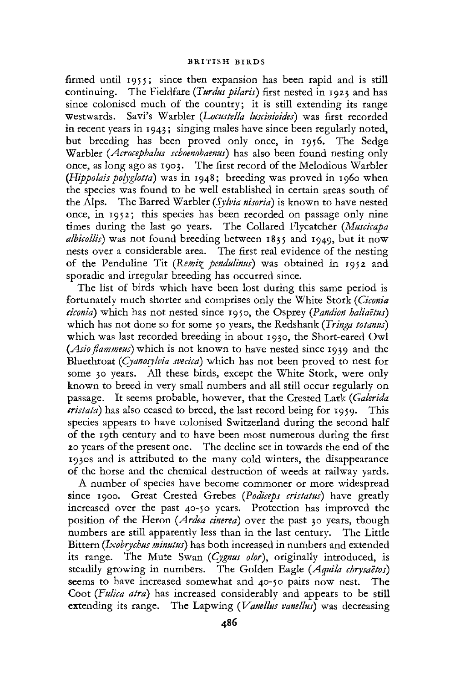firmed until 1955; since then expansion has been rapid and is still continuing. The Fieldfare *(Turdus pilaris)* first nested in 1923 and has since colonised much of the country; it is still extending its range westwards. Savi's Warbler *(Locustella luseinioides)* was first recorded in recent years in 1943; singing males have since been regularly noted, but breeding has been proved only once, in 1956. The Sedge Warbler *(Acrocephalus schoenobaenus)* has also been found nesting only once, as long ago as 1903. The first record of the Melodious Warbler *(Hippolais polyglotta)* was in 1948; breeding was proved in 1960 when the species was found to be well established in certain areas south of the Alps. The Barred Warbler *{Sylvia nisorid)* is known to have nested once, in 1952; this species has been recorded on passage only nine times during the last 90 years. The Collared Flycatcher *(Muscicapa*  albicollis) was not found breeding between 1835 and 1949, but it now nests over a considerable area. The first real evidence of the nesting of the Penduline Tit *(Remi^ pendulinus)* was obtained in 1952 and sporadic and irregular breeding has occurred since.

The list of birds which have been lost during this same period is fortunately much shorter and comprises only the White Stork *(Ciconia eiconia)* which has not nested since 1950, the Osprey *(Pandion haliaeius)*  which has not done so for some 50 years, the Redshank (*Tringa totanus*) which was last recorded breeding in about 1930, the Short-eared Owl *(Asio flammeus)* which is not known to have nested since 1939 and the Bluethroat *(Cyanosykia svecicd)* which has not been proved to nest for some 30 years. All these birds, except the White Stork, were only known to breed in very small numbers and all still occur regularly on passage. It seems probable, however, that the Crested Lark *(Gakrida eristata*) has also ceased to breed, the last record being for 1959. This species appears to have colonised Switzerland during the second half of the 19th century and to have been most numerous during the first 20 years of the present one. The decline set in towards the end of the 1930s and is attributed to the many cold winters, the disappearance of the horse and the chemical destruction of weeds at railway yards.

A number of species have become commoner or more widespread since 1900. Great Crested Grebes *(Podiceps cristatus)* have greatly increased over the past 40-50 years. Protection has improved the position of the Heron *(Ardea einerea)* over the past 30 years, though numbers are still apparently less than in the last century. The Little Bittern *(Jxobrychus minutus)* has both increased in numbers and extended its range. The Mute Swan *(Cygnus olor),* originally introduced, is steadily growing in numbers. The Golden Eagle *(Aquila chrysaetos)*  seems to have increased somewhat and 40-50 pairs now nest. The Coot *(Fulica atrd)* has increased considerably and appears to be still extending its range. The Lapwing *{Vamllus vanellus)* was decreasing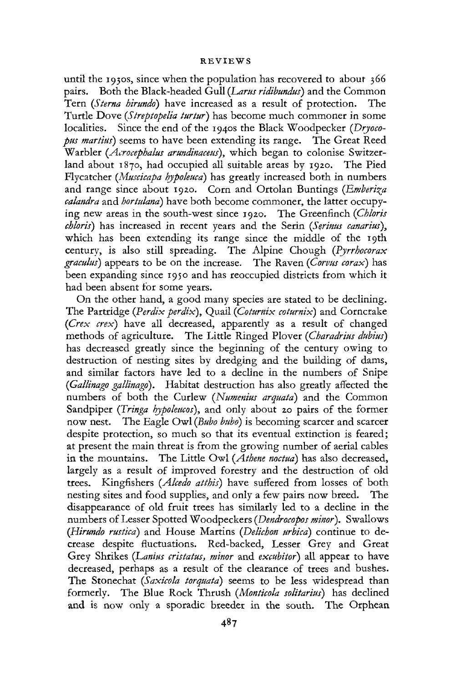## REVIEWS

until the 1930s, since when the population has recovered to about 366 pairs. Both the Black-headed Gull *(Lams ridibundus)* and the Common Tern *(Sterna hirundo)* have increased as a result of protection. The Turtle Dove *(Streptopelia turtur)* has become much commoner in some localities. Since the end of the 1940s the Black Woodpecker *(Dryocopus martins)* seems to have been extending its range. The Great Reed Warbler *(Acrocephalus artmdinaceus),* which began to colonise Switzerland about 1870, had occupied all suitable areas by 1920. The Pied Flycatcher *(Muscicapa hypoleuca*) has greatly increased both in numbers and range since about 1920. Corn and Ortolan Buntings (Emberiza *calandra* and *hortulana)* have both become commoner, the latter occupying new areas in the south-west since 1920, The Greenfinch *(Chloris cbloris)* has increased in recent years and the Serin *(Serinus canarius),*  which has been extending its range since the middle of the 19th century, is also still spreading. The Alpine Chough *(Pjrrhocorax graculus)* appears to be on the increase. The Raven *(Corvus corax)* has been expanding since 1950 and has reoccupied districts from which it had been absent for some years.

On the other hand, a good many species are stated to be declining. The Partridge *(Perdix perdix),* Quail *(Coturnix cotumix)* and Corncrake *(Crex crex)* have all decreased, apparently as a result of changed methods of agriculture. The Little Ringed Plover *(Charadrius dubius)*  has decreased greatly since the beginning of the century owing to destruction of nesting sites by dredging and the building of dams, and similar factors have led to a decline in the numbers of Snipe *(Gallinago gallinago).* Habitat destruction has also greatly affected the numbers of both the Curlew *(Numenius arquatd)* and the Common Sandpiper *(Tringa hypoleucos),* and only about 20 pairs of the former now nest. The Eagle Owl *{Bubo bubo)* is becoming scarcer and scarcer despite protection, so much so that its eventual extinction is feared; at present the main threat is from the growing number of aerial cables in the mountains. The Little Owl *(Athene noctud)* has also decreased, largely as a result of improved forestry and the destruction of old trees. Kingfishers *(Alcedo atthh)* have suffered from losses of both nesting sites and food supplies, and only a few pairs now breed. The disappearance of old fruit trees has similarly led to a decline in the numbers of Lesser Spotted Woodpeckers *(Dendrocopos minor).* Swallows *(Hirundo rusticd)* and House Martins *(Delichon urbicd)* continue to decrease despite fluctuations. Red-backed, Lesser Grey and Great Grey Shrikes *(Lanius cristatus, minor* and *excubitor)* all appear to have decreased, perhaps as a result of the clearance of trees and bushes. The Stonechat *(Saxicola torquatd)* seems to be less widespread than formerly. The Blue Rock Thrush *(Monticola solitarius)* has declined and is now only a sporadic breeder in the south. The Orphean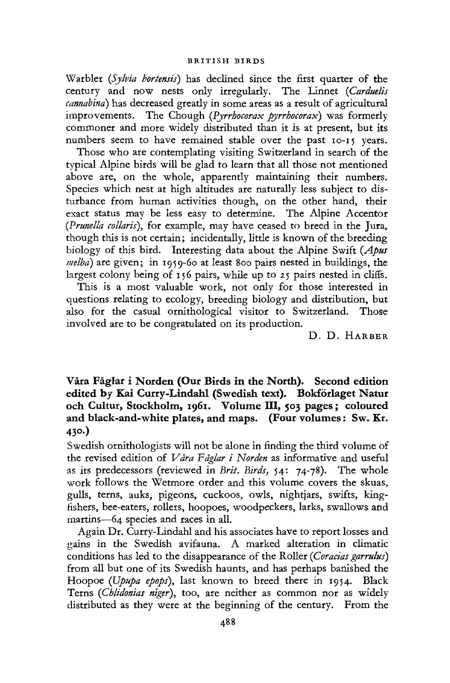Warbler *(Sylvia bortensis)* has declined since the first quarter of the century and now nests only irregularly. The Linnet *(Carduelis cannabind)* has decreased greatly in some areas as a result of agricultural improvements. The Chough *{Pyrrhocorax pyrrhocorax)* was formerly commoner and more widely distributed than it is at present, but its numbers seem to have remained stable over the past 10-15 years.

Those who are contemplating visiting Switzerland in search of the typical Alpine birds will be glad to learn that all those not mentioned above are, on the whole, apparently maintaining their numbers. Species which nest at high altitudes are naturally less subject to disturbance from human activities though, on the other hand, their exact status may be less easy to determine. The Alpine Accentor *(Prunella collarii),* for example, may have ceased to breed in the Jura, though this is not certain; incidentally, little is known of the breeding biology of this bird. Interesting data about the Alpine Swift *(Apus melba)* are given; in 1959-60 at least 800 pairs nested in buildings, the largest colony being of 156 pairs, while up to 25 pairs nested in cliffs.

This is a most valuable work, not only for those interested in questions relating to ecology, breeding biology and distribution, but also for the casual ornithological visitor to Switzerland. Those involved are to be congratulated on its production.

D. D. HARBER

**Vara Faglar i Norden (Our Birds in the North). Second edition edited by Kai Curry-Lindahl (Swedish text). Bokforiaget Natur och Cultur, Stockholm, 1961. Volume III, 503 pages; coloured and black-and-white plates, and maps. (Four volumes**: **Sw. Kr. 430.)** 

Swedish ornithologists will not be alone in finding the third volume of the revised edition of *Vara Faglar i Norden* as informative and useful as its predecessors (reviewed in *Brit. Birds,* 54: 74-78). The whole work follows the Wetmore order and this volume covers the skuas, gulls, terns, auks, pigeons, cuckoos, owls, nightjars, swifts, kingfishers, bee-eaters, rollers, hoopoes, woodpeckers, larks, swallows and martins—64 species and races in all.

Again Dr. Curry-Lindahl and his associates have to report losses and gains in the Swedish avifauna. A marked alteration in climatic conditions has led to the disappearance of the Roller *(Coracias garrulus)* from all but one of its Swedish haunts, and has perhaps banished the Hoopoe *(Upupa epops),* last known to breed there in 1954. Black Terns (Chlidonias niger), too, are neither as common nor as widely distributed as they were at the beginning of the century. From the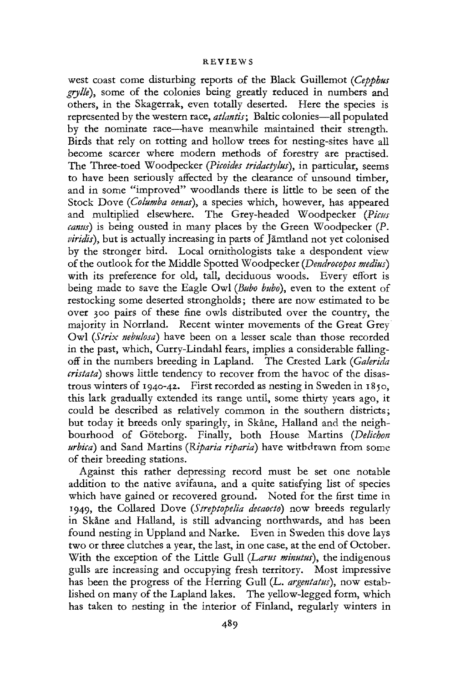#### **REVIEWS**

west coast come disturbing reports of the Black Guillemot *(Cepphus grylle),* some of the colonies being greatly reduced in numbers and others, in the Skagerrak, even totally deserted. Here the species is represented by the western race, *atlantis;* Baltic colonies—all populated by the nominate race—have meanwhile maintained their strength. Birds that rely on rotting and hollow trees for nesting-sites have all become scarcer where modern methods of forestry are practised. The Three-toed Woodpecker *(Picoides tridactylus),* in particular, seems to have been seriously affected by the clearance of unsound timber, and in some "improved" woodlands there is little to be seen of the Stock Dove *(Columba oenas),* a species which, however, has appeared and multiplied elsewhere. The Grey-headed Woodpecker<sup>1</sup> (Picus *canus)* is being ousted in many places by the Green Woodpecker (P. *viridis*), but is actually increasing in parts of Jämtland not yet colonised by the stronger bird. Local ornithologists take a despondent view of the outlook for the Middle Spotted Woodpecker *(Dendrocopos medius)*  with its preference for old, tall, deciduous woods. Every effort is being made to save the Eagle Owl *{Bubo bubo),* even to the extent of restocking some deserted strongholds; there are now estimated to be over 300 pairs of these fine owls distributed over the country, the majority in Norrland. Recent winter movements of the Great Grey Owl *{Strix nebulosd)* have been on a lesser scale than those recorded in the past, which, Curry-Lindahl fears, implies a considerable fallingoff in the numbers breeding in Lapland. The Crested Lark (Galerida *cristata)* shows little tendency to recover from the havoc of the disastrous winters of  $1940-42$ . First recorded as nesting in Sweden in  $1850$ , this lark gradually extended its range until, some thirty years ago, it could be described as relatively common in the southern districts; but today it breeds only sparingly, in Skane, Halland and the neighbourhood of Goteborg. Finally, both House Martins *(Deliehon urbicd)* and Sand Martins *(Riparia riparia)* have withdrawn from some of their breeding stations.

Against this rather depressing record must be set one notable addition to the native avifauna, and a quite satisfying list of species which have gained or recovered ground. Noted for the first time in 1949, the Collared Dove *(Streptopelia decaocto)* now breeds regularly in Skine and Halland, is still advancing northwards, and has been found nesting in Uppland and Narke. Even in Sweden this dove lays two or three clutches a year, the last, in one case, at the end of October. With the exception of the Little Gull *(Larus minutus)*, the indigenous gulls are increasing and occupying fresh territory. Most impressive has been the progress of the Herring Gull (L. argentatus), now established on many of the Lapland lakes. The yellow-legged form, which has taken to nesting in the interior of Finland, regularly winters in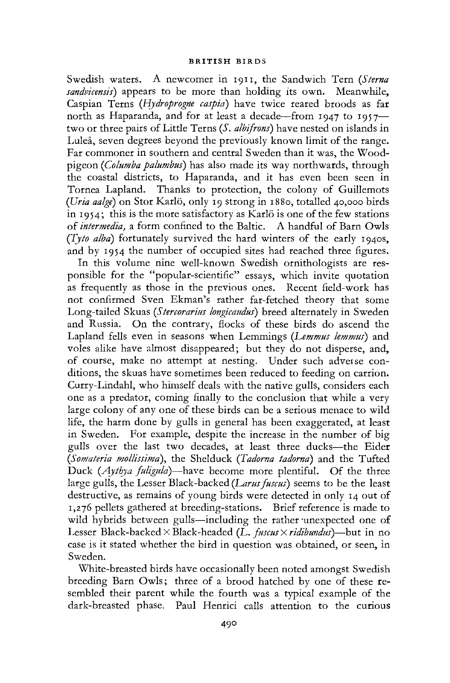Swedish waters. A newcomer in 1911, the Sandwich Tern *(Sterna sandvicensis)* appears to be more than holding its own. Meanwhile, Caspian Terns *(Hydroprogne caspid)* have twice reared broods as far north as Haparanda, and for at least a decade—from 1947 to 1957 two or three pairs of Little Terns *(S. albifrons)* have nested on islands in Lulea, seven degrees beyond the previously known limit of the range. Far commoner in southern and central Sweden than it was, the Woodpigeon *(Columba palumbus)* has also made its way northwards, through the coastal districts, to Haparanda, and it has even been seen in Tornea Lapland. Thanks to protection, the colony of Guillemots *(Uria aalge)* on Stor Karlo, only 19 strong in 1880, totalled 40,000 birds in 1954; this is the more satisfactory as Karlo is one of the few stations of *intermedia,* a form confined to the Baltic. A handful of Barn Owls *(Tyto alba)* fortunately survived the hard winters of the early 1940s, and by 1954 the number of occupied sites had reached three figures.

In this volume nine well-known Swedish ornithologists are responsible for the "popular-scientific" essays, which invite quotation as frequently as those in the previous ones. Recent field-work has not confirmed Sven Ekman's rather far-fetched theory that some Long-tailed Skuas *(Stercorarius longicaudus)* breed alternately in Sweden and Russia. On the contrary, flocks of these birds do ascend the Lapland fells even in seasons when Lemmings *(Lemmus lemmus)* and voles alike have almost disappeared; but they do not disperse, and, of course, make no attempt at nesting. Under such adveise conditions, the skuas have sometimes been reduced to feeding on carrion. Curry-Lindahl, who himself deals with the native gulls, considers each one as a predator, coming finally to the conclusion that while a very large colony of any one of these birds can be a serious menace to wild life, the harm done by gulls in general has been exaggerated, at least in Sweden. For example, despite the increase in the number of big gulls over the last two decades, at least three ducks—the Eider *(Somateria mollissima),* the Shelduck *(Tadorna tadornd)* and the Tufted Duck *(Aythya fuligula)*—have become more plentiful. Of the three large gulls, the Lesser Black-backed *{Larus fuscus)* seems to be the least destructive, as remains of young birds were detected in only 14 out of 1,276 pellets gathered at breeding-stations. Brief reference is made to wild hybrids between gulls—including the rather unexpected one of Lesser Black-backed X Black-headed *(L. fuscus* X *ridibundus)*—but in no case is it stated whether the bird in question was obtained, or seen, in Sweden.

White-breasted birds have occasionally been noted amongst Swedish breeding Barn Owls; three of a brood hatched by one of these resembled their parent while the fourth was a typical example of the dark-breasted phase. Paul Henrici calls attention to the curious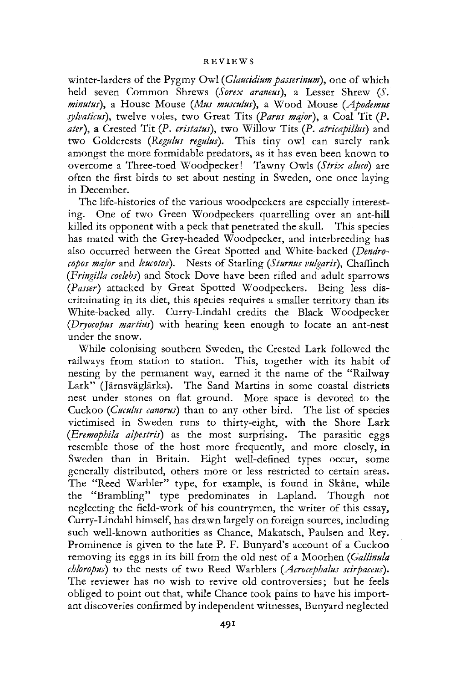#### REVIEW S

winter-larders of the Pygmy Owl *(Glaucidium passerinum),* one of which held seven Common Shrews *(Sorex araneus),* a Lesser Shrew *{S. minutus),* a House Mouse *(Mus musculus),* a Wood Mouse *(Apodemus sylvaticus),* twelve voles, two Great Tits *(Partis major),* a Coal Tit (P. *ater),* a Crested Tit *(P. cristatus),* two Willow Tits (P. *atricapillus)* and two Goldcrests *(Regulus regulus).* This tiny owl can surely rank amongst the more formidable predators, as it has even been known to overcome a Three-toed Woodpecker! Tawny Owls *(Strix aluco)* are often the first birds to set about nesting in Sweden, one once laying in December.

The life-histories of the various woodpeckers are especially interesting. One of two Green Woodpeckers quarrelling over an ant-hill killed its opponent with a peck that penetrated the skull. This species has mated with the Grey-headed Woodpecker, and interbreeding has also occurred between the Great Spotted and White-backed *(Dendrocopos major* and *kucotos).* Nests of Starling *(Sturnus vulgaris),* Chaffinch *(Fringilla coelebs)* and Stock Dove have been rifled and adult sparrows *(Passer)* attacked by Great Spotted Woodpeckers. Being less discriminating in its diet, this species requires a smaller territory than its White-backed ally. Curry-Lindahl credits the Black Woodpecker *(Dryocopus martins)* with hearing keen enough to locate an ant-nest under the snow.

While colonising southern Sweden, the Crested Lark followed the railways from station to station. This, together with its habit of nesting by the permanent way, earned it the name of the "Railway Lark" (Järnsväglärka). The Sand Martins in some coastal districts nest under stones on flat ground. More space is devoted to the Cuckoo *(Cuculus canorus)* than to any other bird. The list of species victimised in Sweden runs to thirty-eight, with the Shore Lark *(Eremophila alpestris)* as the most surprising. The parasitic eggs resemble those of the host more frequently, and more closely, in Sweden than in Britain. Eight well-defined types occur, some generally distributed, others more or less restricted to certain areas. The "Reed Warbler" type, for example, is found in Skane, while the "Brambling" type predominates in Lapland. Though not neglecting the field-work of his countrymen, the writer of this essay, Curry-Lindahl himself, has drawn largely on foreign sources, including such well-known authorities as Chance, Makatsch, Paulsen and Rey. Prominence is given to the late P. F. Bunyard's account of a Cuckoo removing its eggs in its bill from the old nest of a Moorhen *(Gallinula chloropus)* to the nests of two Reed Warblers *(Acrocephalus scirpaceus).*  The reviewer has no wish to revive old controversies; but he feels obliged to point out that, while Chance took pains to have his important discoveries confirmed by independent witnesses, Bunyard neglected